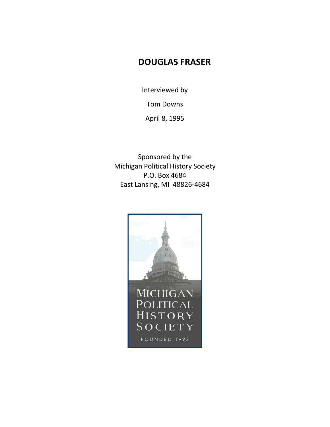## **DOUGLAS FRASER**

Interviewed by

Tom Downs

April 8, 1995

Sponsored by the Michigan Political History Society P.O. Box 4684 East Lansing, MI 48826-4684

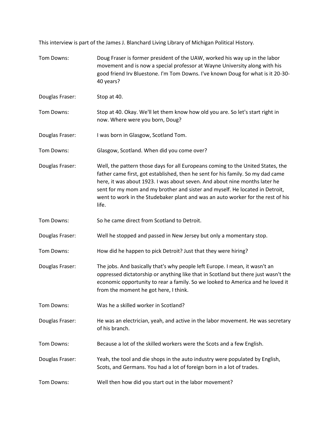This interview is part of the James J. Blanchard Living Library of Michigan Political History.

| Tom Downs:      | Doug Fraser is former president of the UAW, worked his way up in the labor<br>movement and is now a special professor at Wayne University along with his<br>good friend Irv Bluestone. I'm Tom Downs. I've known Doug for what is it 20-30-<br>40 years?                                                                                                                                                                     |
|-----------------|------------------------------------------------------------------------------------------------------------------------------------------------------------------------------------------------------------------------------------------------------------------------------------------------------------------------------------------------------------------------------------------------------------------------------|
| Douglas Fraser: | Stop at 40.                                                                                                                                                                                                                                                                                                                                                                                                                  |
| Tom Downs:      | Stop at 40. Okay. We'll let them know how old you are. So let's start right in<br>now. Where were you born, Doug?                                                                                                                                                                                                                                                                                                            |
| Douglas Fraser: | I was born in Glasgow, Scotland Tom.                                                                                                                                                                                                                                                                                                                                                                                         |
| Tom Downs:      | Glasgow, Scotland. When did you come over?                                                                                                                                                                                                                                                                                                                                                                                   |
| Douglas Fraser: | Well, the pattern those days for all Europeans coming to the United States, the<br>father came first, got established, then he sent for his family. So my dad came<br>here, it was about 1923. I was about seven. And about nine months later he<br>sent for my mom and my brother and sister and myself. He located in Detroit,<br>went to work in the Studebaker plant and was an auto worker for the rest of his<br>life. |
| Tom Downs:      | So he came direct from Scotland to Detroit.                                                                                                                                                                                                                                                                                                                                                                                  |
| Douglas Fraser: | Well he stopped and passed in New Jersey but only a momentary stop.                                                                                                                                                                                                                                                                                                                                                          |
| Tom Downs:      | How did he happen to pick Detroit? Just that they were hiring?                                                                                                                                                                                                                                                                                                                                                               |
| Douglas Fraser: | The jobs. And basically that's why people left Europe. I mean, it wasn't an<br>oppressed dictatorship or anything like that in Scotland but there just wasn't the<br>economic opportunity to rear a family. So we looked to America and he loved it<br>from the moment he got here, I think.                                                                                                                                 |
| Tom Downs:      | Was he a skilled worker in Scotland?                                                                                                                                                                                                                                                                                                                                                                                         |
| Douglas Fraser: | He was an electrician, yeah, and active in the labor movement. He was secretary<br>of his branch.                                                                                                                                                                                                                                                                                                                            |
| Tom Downs:      | Because a lot of the skilled workers were the Scots and a few English.                                                                                                                                                                                                                                                                                                                                                       |
| Douglas Fraser: | Yeah, the tool and die shops in the auto industry were populated by English,<br>Scots, and Germans. You had a lot of foreign born in a lot of trades.                                                                                                                                                                                                                                                                        |
| Tom Downs:      | Well then how did you start out in the labor movement?                                                                                                                                                                                                                                                                                                                                                                       |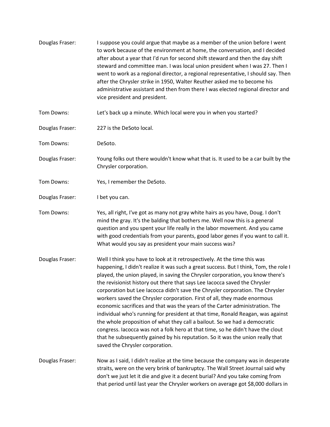| Douglas Fraser: | I suppose you could argue that maybe as a member of the union before I went<br>to work because of the environment at home, the conversation, and I decided<br>after about a year that I'd run for second shift steward and then the day shift<br>steward and committee man. I was local union president when I was 27. Then I<br>went to work as a regional director, a regional representative, I should say. Then<br>after the Chrysler strike in 1950, Walter Reuther asked me to become his<br>administrative assistant and then from there I was elected regional director and<br>vice president and president.                                                                                                                                                                                                                                                                                                                                     |
|-----------------|----------------------------------------------------------------------------------------------------------------------------------------------------------------------------------------------------------------------------------------------------------------------------------------------------------------------------------------------------------------------------------------------------------------------------------------------------------------------------------------------------------------------------------------------------------------------------------------------------------------------------------------------------------------------------------------------------------------------------------------------------------------------------------------------------------------------------------------------------------------------------------------------------------------------------------------------------------|
| Tom Downs:      | Let's back up a minute. Which local were you in when you started?                                                                                                                                                                                                                                                                                                                                                                                                                                                                                                                                                                                                                                                                                                                                                                                                                                                                                        |
| Douglas Fraser: | 227 is the DeSoto local.                                                                                                                                                                                                                                                                                                                                                                                                                                                                                                                                                                                                                                                                                                                                                                                                                                                                                                                                 |
| Tom Downs:      | DeSoto.                                                                                                                                                                                                                                                                                                                                                                                                                                                                                                                                                                                                                                                                                                                                                                                                                                                                                                                                                  |
| Douglas Fraser: | Young folks out there wouldn't know what that is. It used to be a car built by the<br>Chrysler corporation.                                                                                                                                                                                                                                                                                                                                                                                                                                                                                                                                                                                                                                                                                                                                                                                                                                              |
| Tom Downs:      | Yes, I remember the DeSoto.                                                                                                                                                                                                                                                                                                                                                                                                                                                                                                                                                                                                                                                                                                                                                                                                                                                                                                                              |
| Douglas Fraser: | I bet you can.                                                                                                                                                                                                                                                                                                                                                                                                                                                                                                                                                                                                                                                                                                                                                                                                                                                                                                                                           |
| Tom Downs:      | Yes, all right, I've got as many not gray white hairs as you have, Doug. I don't<br>mind the gray. It's the balding that bothers me. Well now this is a general<br>question and you spent your life really in the labor movement. And you came<br>with good credentials from your parents, good labor genes if you want to call it.<br>What would you say as president your main success was?                                                                                                                                                                                                                                                                                                                                                                                                                                                                                                                                                            |
| Douglas Fraser: | Well I think you have to look at it retrospectively. At the time this was<br>happening, I didn't realize it was such a great success. But I think, Tom, the role I<br>played, the union played, in saving the Chrysler corporation, you know there's<br>the revisionist history out there that says Lee Iacocca saved the Chrysler<br>corporation but Lee Iacocca didn't save the Chrysler corporation. The Chrysler<br>workers saved the Chrysler corporation. First of all, they made enormous<br>economic sacrifices and that was the years of the Carter administration. The<br>individual who's running for president at that time, Ronald Reagan, was against<br>the whole proposition of what they call a bailout. So we had a democratic<br>congress. Iacocca was not a folk hero at that time, so he didn't have the clout<br>that he subsequently gained by his reputation. So it was the union really that<br>saved the Chrysler corporation. |
| Douglas Fraser: | Now as I said, I didn't realize at the time because the company was in desperate<br>straits, were on the very brink of bankruptcy. The Wall Street Journal said why<br>don't we just let it die and give it a decent burial? And you take coming from<br>that period until last year the Chrysler workers on average got \$8,000 dollars in                                                                                                                                                                                                                                                                                                                                                                                                                                                                                                                                                                                                              |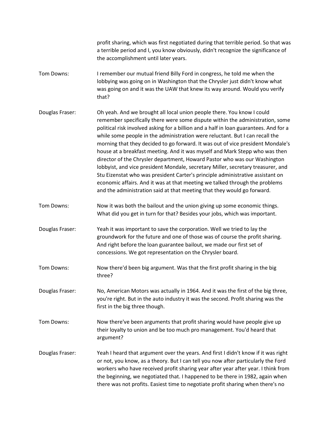profit sharing, which was first negotiated during that terrible period. So that was a terrible period and I, you know obviously, didn't recognize the significance of the accomplishment until later years.

- Tom Downs: I remember our mutual friend Billy Ford in congress, he told me when the lobbying was going on in Washington that the Chrysler just didn't know what was going on and it was the UAW that knew its way around. Would you verify that?
- Douglas Fraser: Oh yeah. And we brought all local union people there. You know I could remember specifically there were some dispute within the administration, some political risk involved asking for a billion and a half in loan guarantees. And for a while some people in the administration were reluctant. But I can recall the morning that they decided to go forward. It was out of vice president Mondale's house at a breakfast meeting. And it was myself and Mark Stepp who was then director of the Chrysler department, Howard Pastor who was our Washington lobbyist, and vice president Mondale, secretary Miller, secretary treasurer, and Stu Eizenstat who was president Carter's principle administrative assistant on economic affairs. And it was at that meeting we talked through the problems and the administration said at that meeting that they would go forward.
- Tom Downs: Now it was both the bailout and the union giving up some economic things. What did you get in turn for that? Besides your jobs, which was important.
- Douglas Fraser: Yeah it was important to save the corporation. Well we tried to lay the groundwork for the future and one of those was of course the profit sharing. And right before the loan guarantee bailout, we made our first set of concessions. We got representation on the Chrysler board.
- Tom Downs: Now there'd been big argument. Was that the first profit sharing in the big three?
- Douglas Fraser: No, American Motors was actually in 1964. And it was the first of the big three, you're right. But in the auto industry it was the second. Profit sharing was the first in the big three though.
- Tom Downs: Now there've been arguments that profit sharing would have people give up their loyalty to union and be too much pro management. You'd heard that argument?
- Douglas Fraser: Yeah I heard that argument over the years. And first I didn't know if it was right or not, you know, as a theory. But I can tell you now after particularly the Ford workers who have received profit sharing year after year after year. I think from the beginning, we negotiated that. I happened to be there in 1982, again when there was not profits. Easiest time to negotiate profit sharing when there's no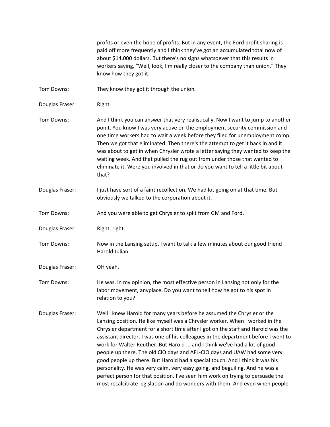profits or even the hope of profits. But in any event, the Ford profit sharing is paid off more frequently and I think they've got an accumulated total now of about \$14,000 dollars. But there's no signs whatsoever that this results in workers saying, "Well, look, I'm really closer to the company than union." They know how they got it.

Tom Downs: They know they got it through the union.

Douglas Fraser: Right.

Tom Downs: And I think you can answer that very realistically. Now I want to jump to another point. You know I was very active on the employment security commission and one time workers had to wait a week before they filed for unemployment comp. Then we got that eliminated. Then there's the attempt to get it back in and it was about to get in when Chrysler wrote a letter saying they wanted to keep the waiting week. And that pulled the rug out from under those that wanted to eliminate it. Were you involved in that or do you want to tell a little bit about that?

- Douglas Fraser: I just have sort of a faint recollection. We had lot going on at that time. But obviously we talked to the corporation about it.
- Tom Downs: And you were able to get Chrysler to split from GM and Ford.
- Douglas Fraser: Right, right.
- Tom Downs: Now in the Lansing setup, I want to talk a few minutes about our good friend Harold Julian.
- Douglas Fraser: OH yeah.

Tom Downs: He was, in my opinion, the most effective person in Lansing not only for the labor movement, anyplace. Do you want to tell how he got to his spot in relation to you?

Douglas Fraser: Well I knew Harold for many years before he assumed the Chrysler or the Lansing position. He like myself was a Chrysler worker. When I worked in the Chrysler department for a short time after I got on the staff and Harold was the assistant director. I was one of his colleagues in the department before I went to work for Walter Reuther. But Harold ... and I think we've had a lot of good people up there. The old CIO days and AFL-CIO days and UAW had some very good people up there. But Harold had a special touch. And I think it was his personality. He was very calm, very easy going, and beguiling. And he was a perfect person for that position. I've seen him work on trying to persuade the most recalcitrate legislation and do wonders with them. And even when people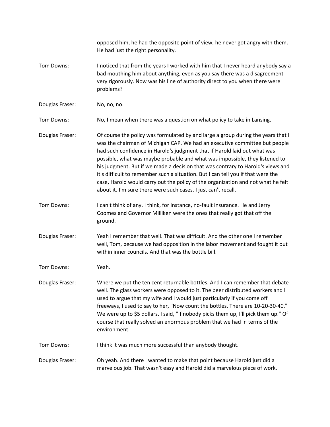opposed him, he had the opposite point of view, he never got angry with them. He had just the right personality. Tom Downs: I noticed that from the years I worked with him that I never heard anybody say a bad mouthing him about anything, even as you say there was a disagreement very rigorously. Now was his line of authority direct to you when there were problems? Douglas Fraser: No, no, no. Tom Downs: No, I mean when there was a question on what policy to take in Lansing. Douglas Fraser: Of course the policy was formulated by and large a group during the years that I was the chairman of Michigan CAP. We had an executive committee but people had such confidence in Harold's judgment that if Harold laid out what was possible, what was maybe probable and what was impossible, they listened to his judgment. But if we made a decision that was contrary to Harold's views and it's difficult to remember such a situation. But I can tell you if that were the case, Harold would carry out the policy of the organization and not what he felt about it. I'm sure there were such cases. I just can't recall. Tom Downs: I can't think of any. I think, for instance, no-fault insurance. He and Jerry Coomes and Governor Milliken were the ones that really got that off the ground. Douglas Fraser: Yeah I remember that well. That was difficult. And the other one I remember well, Tom, because we had opposition in the labor movement and fought it out within inner councils. And that was the bottle bill. Tom Downs: Yeah. Douglas Fraser: Where we put the ten cent returnable bottles. And I can remember that debate well. The glass workers were opposed to it. The beer distributed workers and I used to argue that my wife and I would just particularly if you come off freeways, I used to say to her, "Now count the bottles. There are 10-20-30-40." We were up to \$5 dollars. I said, "If nobody picks them up, I'll pick them up." Of course that really solved an enormous problem that we had in terms of the environment. Tom Downs: I think it was much more successful than anybody thought. Douglas Fraser: Oh yeah. And there I wanted to make that point because Harold just did a marvelous job. That wasn't easy and Harold did a marvelous piece of work.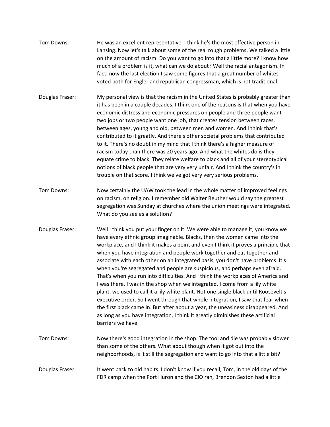| Tom Downs:      | He was an excellent representative. I think he's the most effective person in<br>Lansing. Now let's talk about some of the real rough problems. We talked a little<br>on the amount of racism. Do you want to go into that a little more? I know how<br>much of a problem is it, what can we do about? Well the racial antagonism. In<br>fact, now the last election I saw some figures that a great number of whites<br>voted both for Engler and republican congressman, which is not traditional.                                                                                                                                                                                                                                                                                                                                                                                                                                                                                                                                    |
|-----------------|-----------------------------------------------------------------------------------------------------------------------------------------------------------------------------------------------------------------------------------------------------------------------------------------------------------------------------------------------------------------------------------------------------------------------------------------------------------------------------------------------------------------------------------------------------------------------------------------------------------------------------------------------------------------------------------------------------------------------------------------------------------------------------------------------------------------------------------------------------------------------------------------------------------------------------------------------------------------------------------------------------------------------------------------|
| Douglas Fraser: | My personal view is that the racism in the United States is probably greater than<br>it has been in a couple decades. I think one of the reasons is that when you have<br>economic distress and economic pressures on people and three people want<br>two jobs or two people want one job, that creates tension between races,<br>between ages, young and old, between men and women. And I think that's<br>contributed to it greatly. And there's other societal problems that contributed<br>to it. There's no doubt in my mind that I think there's a higher measure of<br>racism today than there was 20 years ago. And what the whites do is they<br>equate crime to black. They relate welfare to black and all of your stereotypical<br>notions of black people that are very very unfair. And I think the country's in<br>trouble on that score. I think we've got very very serious problems.                                                                                                                                  |
| Tom Downs:      | Now certainly the UAW took the lead in the whole matter of improved feelings<br>on racism, on religion. I remember old Walter Reuther would say the greatest<br>segregation was Sunday at churches where the union meetings were integrated.<br>What do you see as a solution?                                                                                                                                                                                                                                                                                                                                                                                                                                                                                                                                                                                                                                                                                                                                                          |
| Douglas Fraser: | Well I think you put your finger on it. We were able to manage it, you know we<br>have every ethnic group imaginable. Blacks, then the women came into the<br>workplace, and I think it makes a point and even I think it proves a principle that<br>when you have integration and people work together and eat together and<br>associate with each other on an integrated basis, you don't have problems. It's<br>when you're segregated and people are suspicious, and perhaps even afraid.<br>That's when you run into difficulties. And I think the workplaces of America and<br>I was there, I was in the shop when we integrated. I come from a lily white<br>plant, we used to call it a lily white plant. Not one single black until Roosevelt's<br>executive order. So I went through that whole integration, I saw that fear when<br>the first black came in. But after about a year, the uneasiness disappeared. And<br>as long as you have integration, I think it greatly diminishes these artificial<br>barriers we have. |
| Tom Downs:      | Now there's good integration in the shop. The tool and die was probably slower<br>than some of the others. What about though when it got out into the<br>neighborhoods, is it still the segregation and want to go into that a little bit?                                                                                                                                                                                                                                                                                                                                                                                                                                                                                                                                                                                                                                                                                                                                                                                              |
| Douglas Fraser: | It went back to old habits. I don't know if you recall, Tom, in the old days of the<br>FDR camp when the Port Huron and the CIO ran, Brendon Sexton had a little                                                                                                                                                                                                                                                                                                                                                                                                                                                                                                                                                                                                                                                                                                                                                                                                                                                                        |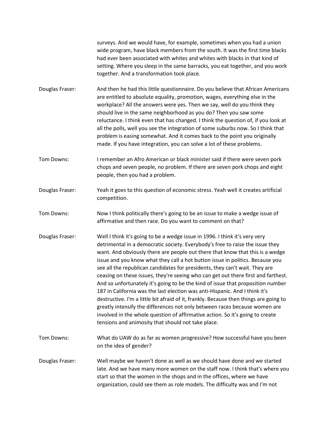surveys. And we would have, for example, sometimes when you had a union wide program, have black members from the south. It was the first time blacks had ever been associated with whites and whites with blacks in that kind of setting. Where you sleep in the same barracks, you eat together, and you work together. And a transformation took place.

Douglas Fraser: And then he had this little questionnaire. Do you believe that African Americans are entitled to absolute equality, promotion, wages, everything else in the workplace? All the answers were yes. Then we say, well do you think they should live in the same neighborhood as you do? Then you saw some reluctance. I think even that has changed. I think the question of, if you look at all the polls, well you see the integration of some suburbs now. So I think that problem is easing somewhat. And it comes back to the point you originally made. If you have integration, you can solve a lot of these problems.

Tom Downs: I remember an Afro American or black minister said if there were seven pork chops and seven people, no problem. If there are seven pork chops and eight people, then you had a problem.

Douglas Fraser: Yeah it goes to this question of economic stress. Yeah well it creates artificial competition.

Tom Downs: Now I think politically there's going to be an issue to make a wedge issue of affirmative and then race. Do you want to comment on that?

Douglas Fraser: Well I think it's going to be a wedge issue in 1996. I think it's very very detrimental in a democratic society. Everybody's free to raise the issue they want. And obviously there are people out there that know that this is a wedge issue and you know what they call a hot button issue in politics. Because you see all the republican candidates for presidents, they can't wait. They are ceasing on these issues, they're seeing who can get out there first and farthest. And so unfortunately it's going to be the kind of issue that proposition number 187 in California was the last election was anti-Hispanic. And I think it's destructive. I'm a little bit afraid of it, frankly. Because then things are going to greatly intensify the differences not only between races because women are involved in the whole question of affirmative action. So it's going to create tensions and animosity that should not take place.

Tom Downs: What do UAW do as far as women progressive? How successful have you been on the idea of gender?

Douglas Fraser: Well maybe we haven't done as well as we should have done and we started late. And we have many more women on the staff now. I think that's where you start so that the women in the shops and in the offices, where we have organization, could see them as role models. The difficulty was and I'm not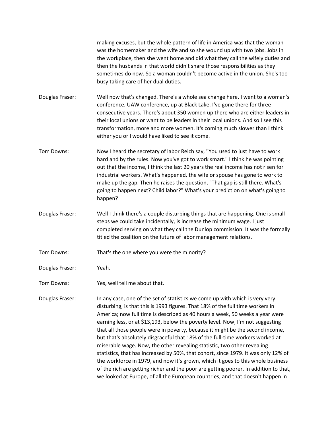making excuses, but the whole pattern of life in America was that the woman was the homemaker and the wife and so she wound up with two jobs. Jobs in the workplace, then she went home and did what they call the wifely duties and then the husbands in that world didn't share those responsibilities as they sometimes do now. So a woman couldn't become active in the union. She's too busy taking care of her dual duties.

Douglas Fraser: Well now that's changed. There's a whole sea change here. I went to a woman's conference, UAW conference, up at Black Lake. I've gone there for three consecutive years. There's about 350 women up there who are either leaders in their local unions or want to be leaders in their local unions. And so I see this transformation, more and more women. It's coming much slower than I think either you or I would have liked to see it come.

- Tom Downs: Now I heard the secretary of labor Reich say, "You used to just have to work hard and by the rules. Now you've got to work smart." I think he was pointing out that the income, I think the last 20 years the real income has not risen for industrial workers. What's happened, the wife or spouse has gone to work to make up the gap. Then he raises the question, "That gap is still there. What's going to happen next? Child labor?" What's your prediction on what's going to happen?
- Douglas Fraser: Well I think there's a couple disturbing things that are happening. One is small steps we could take incidentally, is increase the minimum wage. I just completed serving on what they call the Dunlop commission. It was the formally titled the coalition on the future of labor management relations.
- Tom Downs: That's the one where you were the minority?
- Douglas Fraser: Yeah.
- Tom Downs: Yes, well tell me about that.

Douglas Fraser: In any case, one of the set of statistics we come up with which is very very disturbing, is that this is 1993 figures. That 18% of the full time workers in America; now full time is described as 40 hours a week, 50 weeks a year were earning less, or at \$13,193, below the poverty level. Now, I'm not suggesting that all those people were in poverty, because it might be the second income, but that's absolutely disgraceful that 18% of the full-time workers worked at miserable wage. Now, the other revealing statistic, two other revealing statistics, that has increased by 50%, that cohort, since 1979. It was only 12% of the workforce in 1979, and now it's grown, which it goes to this whole business of the rich are getting richer and the poor are getting poorer. In addition to that, we looked at Europe, of all the European countries, and that doesn't happen in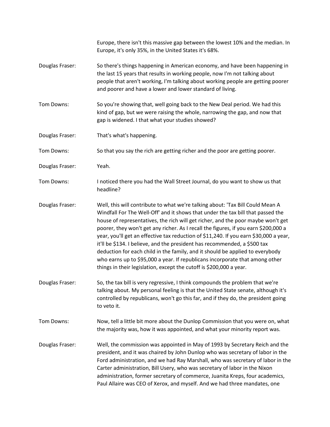|                 | Europe, there isn't this massive gap between the lowest 10% and the median. In<br>Europe, it's only 35%, in the United States it's 68%.                                                                                                                                                                                                                                                                                                                                                                                                                                                                                                                                                                                                                    |
|-----------------|------------------------------------------------------------------------------------------------------------------------------------------------------------------------------------------------------------------------------------------------------------------------------------------------------------------------------------------------------------------------------------------------------------------------------------------------------------------------------------------------------------------------------------------------------------------------------------------------------------------------------------------------------------------------------------------------------------------------------------------------------------|
| Douglas Fraser: | So there's things happening in American economy, and have been happening in<br>the last 15 years that results in working people, now I'm not talking about<br>people that aren't working, I'm talking about working people are getting poorer<br>and poorer and have a lower and lower standard of living.                                                                                                                                                                                                                                                                                                                                                                                                                                                 |
| Tom Downs:      | So you're showing that, well going back to the New Deal period. We had this<br>kind of gap, but we were raising the whole, narrowing the gap, and now that<br>gap is widened. I that what your studies showed?                                                                                                                                                                                                                                                                                                                                                                                                                                                                                                                                             |
| Douglas Fraser: | That's what's happening.                                                                                                                                                                                                                                                                                                                                                                                                                                                                                                                                                                                                                                                                                                                                   |
| Tom Downs:      | So that you say the rich are getting richer and the poor are getting poorer.                                                                                                                                                                                                                                                                                                                                                                                                                                                                                                                                                                                                                                                                               |
| Douglas Fraser: | Yeah.                                                                                                                                                                                                                                                                                                                                                                                                                                                                                                                                                                                                                                                                                                                                                      |
| Tom Downs:      | I noticed there you had the Wall Street Journal, do you want to show us that<br>headline?                                                                                                                                                                                                                                                                                                                                                                                                                                                                                                                                                                                                                                                                  |
| Douglas Fraser: | Well, this will contribute to what we're talking about: 'Tax Bill Could Mean A<br>Windfall For The Well-Off' and it shows that under the tax bill that passed the<br>house of representatives, the rich will get richer, and the poor maybe won't get<br>poorer, they won't get any richer. As I recall the figures, if you earn \$200,000 a<br>year, you'll get an effective tax reduction of \$11,240. If you earn \$30,000 a year,<br>it'll be \$134. I believe, and the president has recommended, a \$500 tax<br>deduction for each child in the family, and it should be applied to everybody<br>who earns up to \$95,000 a year. If republicans incorporate that among other<br>things in their legislation, except the cutoff is \$200,000 a year. |
| Douglas Fraser: | So, the tax bill is very regressive, I think compounds the problem that we're<br>talking about. My personal feeling is that the United State senate, although it's<br>controlled by republicans, won't go this far, and if they do, the president going<br>to veto it.                                                                                                                                                                                                                                                                                                                                                                                                                                                                                     |
| Tom Downs:      | Now, tell a little bit more about the Dunlop Commission that you were on, what<br>the majority was, how it was appointed, and what your minority report was.                                                                                                                                                                                                                                                                                                                                                                                                                                                                                                                                                                                               |
| Douglas Fraser: | Well, the commission was appointed in May of 1993 by Secretary Reich and the<br>president, and it was chaired by John Dunlop who was secretary of labor in the<br>Ford administration, and we had Ray Marshall, who was secretary of labor in the<br>Carter administration, Bill Usery, who was secretary of labor in the Nixon<br>administration, former secretary of commerce, Juanita Kreps, four academics,<br>Paul Allaire was CEO of Xerox, and myself. And we had three mandates, one                                                                                                                                                                                                                                                               |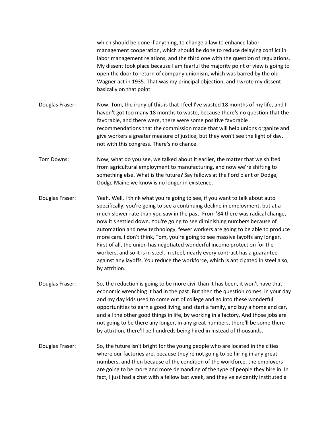which should be done if anything, to change a law to enhance labor management cooperation, which should be done to reduce delaying conflict in labor management relations, and the third one with the question of regulations. My dissent took place because I am fearful the majority point of view is going to open the door to return of company unionism, which was barred by the old Wagner act in 1935. That was my principal objection, and I wrote my dissent basically on that point.

- Douglas Fraser: Now, Tom, the irony of this is that I feel I've wasted 18 months of my life, and I haven't got too many 18 months to waste, because there's no question that the favorable, and there were, there were some positive favorable recommendations that the commission made that will help unions organize and give workers a greater measure of justice, but they won't see the light of day, not with this congress. There's no chance.
- Tom Downs: Now, what do you see, we talked about it earlier, the matter that we shifted from agricultural employment to manufacturing, and now we're shifting to something else. What is the future? Say fellows at the Ford plant or Dodge, Dodge Maine we know is no longer in existence.
- Douglas Fraser: Yeah. Well, I think what you're going to see, if you want to talk about auto specifically, you're going to see a continuing decline in employment, but at a much slower rate than you saw in the past. From '84 there was radical change, now it's settled down. You're going to see diminishing numbers because of automation and new technology, fewer workers are going to be able to produce more cars. I don't think, Tom, you're going to see massive layoffs any longer. First of all, the union has negotiated wonderful income protection for the workers, and so it is in steel. In steel, nearly every contract has a guarantee against any layoffs. You reduce the workforce, which is anticipated in steel also, by attrition.
- Douglas Fraser: So, the reduction is going to be more civil than it has been, it won't have that economic wrenching it had in the past. But then the question comes, in your day and my day kids used to come out of college and go into these wonderful opportunities to earn a good living, and start a family, and buy a home and car, and all the other good things in life, by working in a factory. And those jobs are not going to be there any longer, in any great numbers, there'll be some there by attrition, there'll be hundreds being hired in instead of thousands.
- Douglas Fraser: So, the future isn't bright for the young people who are located in the cities where our factories are, because they're not going to be hiring in any great numbers, and then because of the condition of the workforce, the employers are going to be more and more demanding of the type of people they hire in. In fact, I just had a chat with a fellow last week, and they've evidently instituted a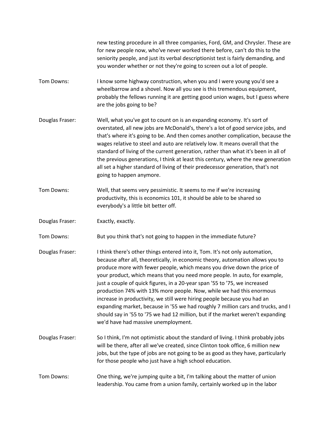new testing procedure in all three companies, Ford, GM, and Chrysler. These are for new people now, who've never worked there before, can't do this to the seniority people, and just its verbal descriptionist test is fairly demanding, and you wonder whether or not they're going to screen out a lot of people.

- Tom Downs: I know some highway construction, when you and I were young you'd see a wheelbarrow and a shovel. Now all you see is this tremendous equipment, probably the fellows running it are getting good union wages, but I guess where are the jobs going to be?
- Douglas Fraser: Well, what you've got to count on is an expanding economy. It's sort of overstated, all new jobs are McDonald's, there's a lot of good service jobs, and that's where it's going to be. And then comes another complication, because the wages relative to steel and auto are relatively low. It means overall that the standard of living of the current generation, rather than what it's been in all of the previous generations, I think at least this century, where the new generation all set a higher standard of living of their predecessor generation, that's not going to happen anymore.
- Tom Downs: Well, that seems very pessimistic. It seems to me if we're increasing productivity, this is economics 101, it should be able to be shared so everybody's a little bit better off.
- Douglas Fraser: Exactly, exactly.

Tom Downs: But you think that's not going to happen in the immediate future?

- Douglas Fraser: I think there's other things entered into it, Tom. It's not only automation, because after all, theoretically, in economic theory, automation allows you to produce more with fewer people, which means you drive down the price of your product, which means that you need more people. In auto, for example, just a couple of quick figures, in a 20-year span '55 to '75, we increased production 74% with 13% more people. Now, while we had this enormous increase in productivity, we still were hiring people because you had an expanding market, because in '55 we had roughly 7 million cars and trucks, and I should say in '55 to '75 we had 12 million, but if the market weren't expanding we'd have had massive unemployment.
- Douglas Fraser: So I think, I'm not optimistic about the standard of living. I think probably jobs will be there, after all we've created, since Clinton took office, 6 million new jobs, but the type of jobs are not going to be as good as they have, particularly for those people who just have a high school education.
- Tom Downs: One thing, we're jumping quite a bit, I'm talking about the matter of union leadership. You came from a union family, certainly worked up in the labor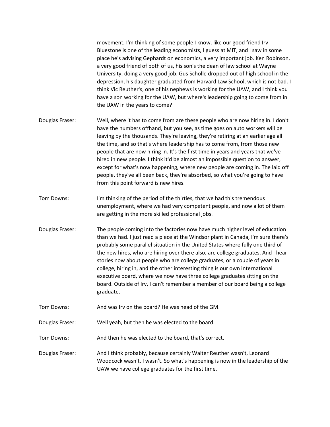movement, I'm thinking of some people I know, like our good friend Irv Bluestone is one of the leading economists, I guess at MIT, and I saw in some place he's advising Gephardt on economics, a very important job. Ken Robinson, a very good friend of both of us, his son's the dean of law school at Wayne University, doing a very good job. Gus Scholle dropped out of high school in the depression, his daughter graduated from Harvard Law School, which is not bad. I think Vic Reuther's, one of his nephews is working for the UAW, and I think you have a son working for the UAW, but where's leadership going to come from in the UAW in the years to come?

- Douglas Fraser: Well, where it has to come from are these people who are now hiring in. I don't have the numbers offhand, but you see, as time goes on auto workers will be leaving by the thousands. They're leaving, they're retiring at an earlier age all the time, and so that's where leadership has to come from, from those new people that are now hiring in. It's the first time in years and years that we've hired in new people. I think it'd be almost an impossible question to answer, except for what's now happening, where new people are coming in. The laid off people, they've all been back, they're absorbed, so what you're going to have from this point forward is new hires.
- Tom Downs: I'm thinking of the period of the thirties, that we had this tremendous unemployment, where we had very competent people, and now a lot of them are getting in the more skilled professional jobs.
- Douglas Fraser: The people coming into the factories now have much higher level of education than we had. I just read a piece at the Windsor plant in Canada, I'm sure there's probably some parallel situation in the United States where fully one third of the new hires, who are hiring over there also, are college graduates. And I hear stories now about people who are college graduates, or a couple of years in college, hiring in, and the other interesting thing is our own international executive board, where we now have three college graduates sitting on the board. Outside of Irv, I can't remember a member of our board being a college graduate.
- Tom Downs: And was Irv on the board? He was head of the GM.

Douglas Fraser: Well yeah, but then he was elected to the board.

Tom Downs: And then he was elected to the board, that's correct.

Douglas Fraser: And I think probably, because certainly Walter Reuther wasn't, Leonard Woodcock wasn't, I wasn't. So what's happening is now in the leadership of the UAW we have college graduates for the first time.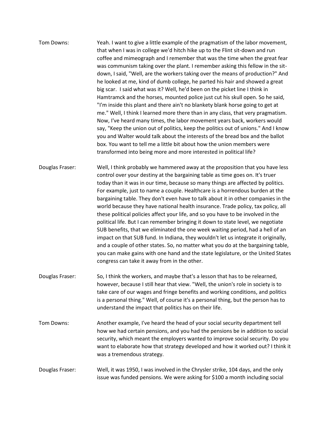| Tom Downs: | Yeah. I want to give a little example of the pragmatism of the labor movement,     |
|------------|------------------------------------------------------------------------------------|
|            | that when I was in college we'd hitch hike up to the Flint sit-down and run        |
|            | coffee and mimeograph and I remember that was the time when the great fear         |
|            | was communism taking over the plant. I remember asking this fellow in the sit-     |
|            | down, I said, "Well, are the workers taking over the means of production?" And     |
|            | he looked at me, kind of dumb college, he parted his hair and showed a great       |
|            | big scar. I said what was it? Well, he'd been on the picket line I think in        |
|            | Hamtramck and the horses, mounted police just cut his skull open. So he said,      |
|            | "I'm inside this plant and there ain't no blankety blank horse going to get at     |
|            | me." Well, I think I learned more there than in any class, that very pragmatism.   |
|            | Now, I've heard many times, the labor movement years back, workers would           |
|            | say, "Keep the union out of politics, keep the politics out of unions." And I know |
|            | you and Walter would talk about the interests of the bread box and the ballot      |
|            | box. You want to tell me a little bit about how the union members were             |
|            | transformed into being more and more interested in political life?                 |
|            |                                                                                    |

- Douglas Fraser: Well, I think probably we hammered away at the proposition that you have less control over your destiny at the bargaining table as time goes on. It's truer today than it was in our time, because so many things are affected by politics. For example, just to name a couple. Healthcare is a horrendous burden at the bargaining table. They don't even have to talk about it in other companies in the world because they have national health insurance. Trade policy, tax policy, all these political policies affect your life, and so you have to be involved in the political life. But I can remember bringing it down to state level, we negotiate SUB benefits, that we eliminated the one week waiting period, had a hell of an impact on that SUB fund. In Indiana, they wouldn't let us integrate it originally, and a couple of other states. So, no matter what you do at the bargaining table, you can make gains with one hand and the state legislature, or the United States congress can take it away from in the other.
- Douglas Fraser: So, I think the workers, and maybe that's a lesson that has to be relearned, however, because I still hear that view. "Well, the union's role in society is to take care of our wages and fringe benefits and working conditions, and politics is a personal thing." Well, of course it's a personal thing, but the person has to understand the impact that politics has on their life.
- Tom Downs: Another example, I've heard the head of your social security department tell how we had certain pensions, and you had the pensions be in addition to social security, which meant the employers wanted to improve social security. Do you want to elaborate how that strategy developed and how it worked out? I think it was a tremendous strategy.

## Douglas Fraser: Well, it was 1950, I was involved in the Chrysler strike, 104 days, and the only issue was funded pensions. We were asking for \$100 a month including social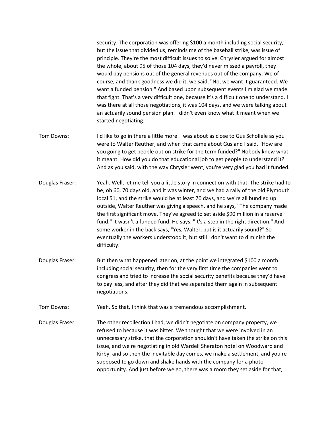security. The corporation was offering \$100 a month including social security, but the issue that divided us, reminds me of the baseball strike, was issue of principle. They're the most difficult issues to solve. Chrysler argued for almost the whole, about 95 of those 104 days, they'd never missed a payroll, they would pay pensions out of the general revenues out of the company. We of course, and thank goodness we did it, we said, "No, we want it guaranteed. We want a funded pension." And based upon subsequent events I'm glad we made that fight. That's a very difficult one, because it's a difficult one to understand. I was there at all those negotiations, it was 104 days, and we were talking about an actuarily sound pension plan. I didn't even know what it meant when we started negotiating.

- Tom Downs: I'd like to go in there a little more. I was about as close to Gus Schollele as you were to Walter Reuther, and when that came about Gus and I said, "How are you going to get people out on strike for the term funded?" Nobody knew what it meant. How did you do that educational job to get people to understand it? And as you said, with the way Chrysler went, you're very glad you had it funded.
- Douglas Fraser: Yeah. Well, let me tell you a little story in connection with that. The strike had to be, oh 60, 70 days old, and it was winter, and we had a rally of the old Plymouth local 51, and the strike would be at least 70 days, and we're all bundled up outside, Walter Reuther was giving a speech, and he says, "The company made the first significant move. They've agreed to set aside \$90 million in a reserve fund." It wasn't a funded fund. He says, "It's a step in the right direction." And some worker in the back says, "Yes, Walter, but is it actuarily sound?" So eventually the workers understood it, but still I don't want to diminish the difficulty.
- Douglas Fraser: But then what happened later on, at the point we integrated \$100 a month including social security, then for the very first time the companies went to congress and tried to increase the social security benefits because they'd have to pay less, and after they did that we separated them again in subsequent negotiations.
- Tom Downs: Yeah. So that, I think that was a tremendous accomplishment.
- Douglas Fraser: The other recollection I had, we didn't negotiate on company property, we refused to because it was bitter. We thought that we were involved in an unnecessary strike, that the corporation shouldn't have taken the strike on this issue, and we're negotiating in old Wardell Sheraton hotel on Woodward and Kirby, and so then the inevitable day comes, we make a settlement, and you're supposed to go down and shake hands with the company for a photo opportunity. And just before we go, there was a room they set aside for that,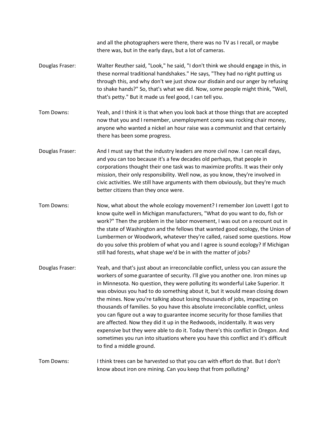and all the photographers were there, there was no TV as I recall, or maybe there was, but in the early days, but a lot of cameras.

- Douglas Fraser: Walter Reuther said, "Look," he said, "I don't think we should engage in this, in these normal traditional handshakes." He says, "They had no right putting us through this, and why don't we just show our disdain and our anger by refusing to shake hands?" So, that's what we did. Now, some people might think, "Well, that's petty." But it made us feel good, I can tell you.
- Tom Downs: Yeah, and I think it is that when you look back at those things that are accepted now that you and I remember, unemployment comp was rocking chair money, anyone who wanted a nickel an hour raise was a communist and that certainly there has been some progress.
- Douglas Fraser: And I must say that the industry leaders are more civil now. I can recall days, and you can too because it's a few decades old perhaps, that people in corporations thought their one task was to maximize profits. It was their only mission, their only responsibility. Well now, as you know, they're involved in civic activities. We still have arguments with them obviously, but they're much better citizens than they once were.
- Tom Downs: Now, what about the whole ecology movement? I remember Jon Lovett I got to know quite well in Michigan manufacturers, "What do you want to do, fish or work?" Then the problem in the labor movement, I was out on a recount out in the state of Washington and the fellows that wanted good ecology, the Union of Lumbermen or Woodwork, whatever they're called, raised some questions. How do you solve this problem of what you and I agree is sound ecology? If Michigan still had forests, what shape we'd be in with the matter of jobs?
- Douglas Fraser: Yeah, and that's just about an irreconcilable conflict, unless you can assure the workers of some guarantee of security. I'll give you another one. Iron mines up in Minnesota. No question, they were polluting its wonderful Lake Superior. It was obvious you had to do something about it, but it would mean closing down the mines. Now you're talking about losing thousands of jobs, impacting on thousands of families. So you have this absolute irreconcilable conflict, unless you can figure out a way to guarantee income security for those families that are affected. Now they did it up in the Redwoods, incidentally. It was very expensive but they were able to do it. Today there's this conflict in Oregon. And sometimes you run into situations where you have this conflict and it's difficult to find a middle ground.

## Tom Downs: I think trees can be harvested so that you can with effort do that. But I don't know about iron ore mining. Can you keep that from polluting?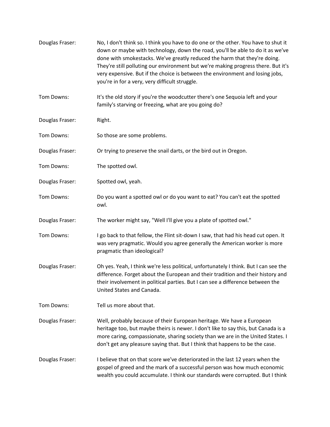| Douglas Fraser: | No, I don't think so. I think you have to do one or the other. You have to shut it<br>down or maybe with technology, down the road, you'll be able to do it as we've<br>done with smokestacks. We've greatly reduced the harm that they're doing.<br>They're still polluting our environment but we're making progress there. But it's<br>very expensive. But if the choice is between the environment and losing jobs,<br>you're in for a very, very difficult struggle. |
|-----------------|---------------------------------------------------------------------------------------------------------------------------------------------------------------------------------------------------------------------------------------------------------------------------------------------------------------------------------------------------------------------------------------------------------------------------------------------------------------------------|
| Tom Downs:      | It's the old story if you're the woodcutter there's one Sequoia left and your<br>family's starving or freezing, what are you going do?                                                                                                                                                                                                                                                                                                                                    |
| Douglas Fraser: | Right.                                                                                                                                                                                                                                                                                                                                                                                                                                                                    |
| Tom Downs:      | So those are some problems.                                                                                                                                                                                                                                                                                                                                                                                                                                               |
| Douglas Fraser: | Or trying to preserve the snail darts, or the bird out in Oregon.                                                                                                                                                                                                                                                                                                                                                                                                         |
| Tom Downs:      | The spotted owl.                                                                                                                                                                                                                                                                                                                                                                                                                                                          |
| Douglas Fraser: | Spotted owl, yeah.                                                                                                                                                                                                                                                                                                                                                                                                                                                        |
| Tom Downs:      | Do you want a spotted owl or do you want to eat? You can't eat the spotted<br>owl.                                                                                                                                                                                                                                                                                                                                                                                        |
| Douglas Fraser: | The worker might say, "Well I'll give you a plate of spotted owl."                                                                                                                                                                                                                                                                                                                                                                                                        |
| Tom Downs:      | I go back to that fellow, the Flint sit-down I saw, that had his head cut open. It<br>was very pragmatic. Would you agree generally the American worker is more<br>pragmatic than ideological?                                                                                                                                                                                                                                                                            |
| Douglas Fraser: | Oh yes. Yeah, I think we're less political, unfortunately I think. But I can see the<br>difference. Forget about the European and their tradition and their history and<br>their involvement in political parties. But I can see a difference between the<br>United States and Canada.                                                                                                                                                                                    |
| Tom Downs:      | Tell us more about that.                                                                                                                                                                                                                                                                                                                                                                                                                                                  |
| Douglas Fraser: | Well, probably because of their European heritage. We have a European<br>heritage too, but maybe theirs is newer. I don't like to say this, but Canada is a<br>more caring, compassionate, sharing society than we are in the United States. I<br>don't get any pleasure saying that. But I think that happens to be the case.                                                                                                                                            |
| Douglas Fraser: | I believe that on that score we've deteriorated in the last 12 years when the<br>gospel of greed and the mark of a successful person was how much economic<br>wealth you could accumulate. I think our standards were corrupted. But I think                                                                                                                                                                                                                              |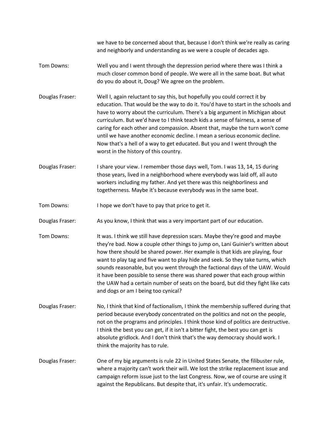we have to be concerned about that, because I don't think we're really as caring and neighborly and understanding as we were a couple of decades ago.

- Tom Downs: Well you and I went through the depression period where there was I think a much closer common bond of people. We were all in the same boat. But what do you do about it, Doug? We agree on the problem.
- Douglas Fraser: Well I, again reluctant to say this, but hopefully you could correct it by education. That would be the way to do it. You'd have to start in the schools and have to worry about the curriculum. There's a big argument in Michigan about curriculum. But we'd have to I think teach kids a sense of fairness, a sense of caring for each other and compassion. Absent that, maybe the turn won't come until we have another economic decline. I mean a serious economic decline. Now that's a hell of a way to get educated. But you and I went through the worst in the history of this country.
- Douglas Fraser: I share your view. I remember those days well, Tom. I was 13, 14, 15 during those years, lived in a neighborhood where everybody was laid off, all auto workers including my father. And yet there was this neighborliness and togetherness. Maybe it's because everybody was in the same boat.
- Tom Downs: I hope we don't have to pay that price to get it.
- Douglas Fraser: As you know, I think that was a very important part of our education.
- Tom Downs: It was. I think we still have depression scars. Maybe they're good and maybe they're bad. Now a couple other things to jump on, Lani Guinier's written about how there should be shared power. Her example is that kids are playing, four want to play tag and five want to play hide and seek. So they take turns, which sounds reasonable, but you went through the factional days of the UAW. Would it have been possible to sense there was shared power that each group within the UAW had a certain number of seats on the board, but did they fight like cats and dogs or am I being too cynical?
- Douglas Fraser: No, I think that kind of factionalism, I think the membership suffered during that period because everybody concentrated on the politics and not on the people, not on the programs and principles. I think those kind of politics are destructive. I think the best you can get, if it isn't a bitter fight, the best you can get is absolute gridlock. And I don't think that's the way democracy should work. I think the majority has to rule.
- Douglas Fraser: One of my big arguments is rule 22 in United States Senate, the filibuster rule, where a majority can't work their will. We lost the strike replacement issue and campaign reform issue just to the last Congress. Now, we of course are using it against the Republicans. But despite that, it's unfair. It's undemocratic.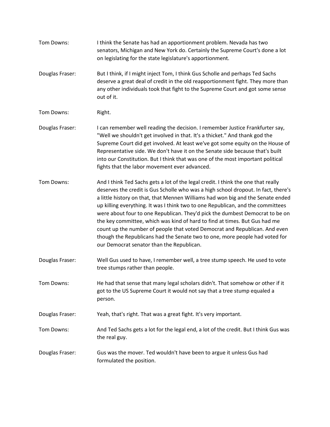| Tom Downs:      | I think the Senate has had an apportionment problem. Nevada has two<br>senators, Michigan and New York do. Certainly the Supreme Court's done a lot<br>on legislating for the state legislature's apportionment.                                                                                                                                                                                                                                                                                                                                                                                                                                                                                                      |
|-----------------|-----------------------------------------------------------------------------------------------------------------------------------------------------------------------------------------------------------------------------------------------------------------------------------------------------------------------------------------------------------------------------------------------------------------------------------------------------------------------------------------------------------------------------------------------------------------------------------------------------------------------------------------------------------------------------------------------------------------------|
| Douglas Fraser: | But I think, if I might inject Tom, I think Gus Scholle and perhaps Ted Sachs<br>deserve a great deal of credit in the old reapportionment fight. They more than<br>any other individuals took that fight to the Supreme Court and got some sense<br>out of it.                                                                                                                                                                                                                                                                                                                                                                                                                                                       |
| Tom Downs:      | Right.                                                                                                                                                                                                                                                                                                                                                                                                                                                                                                                                                                                                                                                                                                                |
| Douglas Fraser: | I can remember well reading the decision. I remember Justice Frankfurter say,<br>"Well we shouldn't get involved in that. It's a thicket." And thank god the<br>Supreme Court did get involved. At least we've got some equity on the House of<br>Representative side. We don't have it on the Senate side because that's built<br>into our Constitution. But I think that was one of the most important political<br>fights that the labor movement ever advanced.                                                                                                                                                                                                                                                   |
| Tom Downs:      | And I think Ted Sachs gets a lot of the legal credit. I think the one that really<br>deserves the credit is Gus Scholle who was a high school dropout. In fact, there's<br>a little history on that, that Mennen Williams had won big and the Senate ended<br>up killing everything. It was I think two to one Republican, and the committees<br>were about four to one Republican. They'd pick the dumbest Democrat to be on<br>the key committee, which was kind of hard to find at times. But Gus had me<br>count up the number of people that voted Democrat and Republican. And even<br>though the Republicans had the Senate two to one, more people had voted for<br>our Democrat senator than the Republican. |
| Douglas Fraser: | Well Gus used to have, I remember well, a tree stump speech. He used to vote<br>tree stumps rather than people.                                                                                                                                                                                                                                                                                                                                                                                                                                                                                                                                                                                                       |
| Tom Downs:      | He had that sense that many legal scholars didn't. That somehow or other if it<br>got to the US Supreme Court it would not say that a tree stump equaled a<br>person.                                                                                                                                                                                                                                                                                                                                                                                                                                                                                                                                                 |
| Douglas Fraser: | Yeah, that's right. That was a great fight. It's very important.                                                                                                                                                                                                                                                                                                                                                                                                                                                                                                                                                                                                                                                      |
| Tom Downs:      | And Ted Sachs gets a lot for the legal end, a lot of the credit. But I think Gus was<br>the real guy.                                                                                                                                                                                                                                                                                                                                                                                                                                                                                                                                                                                                                 |
| Douglas Fraser: | Gus was the mover. Ted wouldn't have been to argue it unless Gus had<br>formulated the position.                                                                                                                                                                                                                                                                                                                                                                                                                                                                                                                                                                                                                      |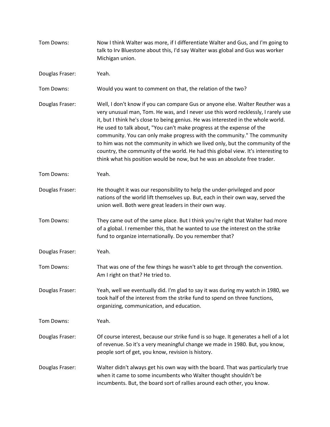| Tom Downs:      | Now I think Walter was more, if I differentiate Walter and Gus, and I'm going to<br>talk to Irv Bluestone about this, I'd say Walter was global and Gus was worker<br>Michigan union.                                                                                                                                                                                                                                                                                                                                                                                                                                                                            |
|-----------------|------------------------------------------------------------------------------------------------------------------------------------------------------------------------------------------------------------------------------------------------------------------------------------------------------------------------------------------------------------------------------------------------------------------------------------------------------------------------------------------------------------------------------------------------------------------------------------------------------------------------------------------------------------------|
| Douglas Fraser: | Yeah.                                                                                                                                                                                                                                                                                                                                                                                                                                                                                                                                                                                                                                                            |
| Tom Downs:      | Would you want to comment on that, the relation of the two?                                                                                                                                                                                                                                                                                                                                                                                                                                                                                                                                                                                                      |
| Douglas Fraser: | Well, I don't know if you can compare Gus or anyone else. Walter Reuther was a<br>very unusual man, Tom. He was, and I never use this word recklessly, I rarely use<br>it, but I think he's close to being genius. He was interested in the whole world.<br>He used to talk about, "You can't make progress at the expense of the<br>community. You can only make progress with the community." The community<br>to him was not the community in which we lived only, but the community of the<br>country, the community of the world. He had this global view. It's interesting to<br>think what his position would be now, but he was an absolute free trader. |
| Tom Downs:      | Yeah.                                                                                                                                                                                                                                                                                                                                                                                                                                                                                                                                                                                                                                                            |
| Douglas Fraser: | He thought it was our responsibility to help the under-privileged and poor<br>nations of the world lift themselves up. But, each in their own way, served the<br>union well. Both were great leaders in their own way.                                                                                                                                                                                                                                                                                                                                                                                                                                           |
| Tom Downs:      | They came out of the same place. But I think you're right that Walter had more<br>of a global. I remember this, that he wanted to use the interest on the strike<br>fund to organize internationally. Do you remember that?                                                                                                                                                                                                                                                                                                                                                                                                                                      |
| Douglas Fraser: | Yeah.                                                                                                                                                                                                                                                                                                                                                                                                                                                                                                                                                                                                                                                            |
| Tom Downs:      | That was one of the few things he wasn't able to get through the convention.<br>Am I right on that? He tried to.                                                                                                                                                                                                                                                                                                                                                                                                                                                                                                                                                 |
| Douglas Fraser: | Yeah, well we eventually did. I'm glad to say it was during my watch in 1980, we<br>took half of the interest from the strike fund to spend on three functions,<br>organizing, communication, and education.                                                                                                                                                                                                                                                                                                                                                                                                                                                     |
| Tom Downs:      | Yeah.                                                                                                                                                                                                                                                                                                                                                                                                                                                                                                                                                                                                                                                            |
| Douglas Fraser: | Of course interest, because our strike fund is so huge. It generates a hell of a lot<br>of revenue. So it's a very meaningful change we made in 1980. But, you know,<br>people sort of get, you know, revision is history.                                                                                                                                                                                                                                                                                                                                                                                                                                       |
| Douglas Fraser: | Walter didn't always get his own way with the board. That was particularly true<br>when it came to some incumbents who Walter thought shouldn't be<br>incumbents. But, the board sort of rallies around each other, you know.                                                                                                                                                                                                                                                                                                                                                                                                                                    |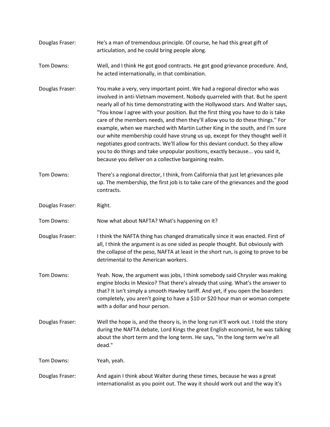- Douglas Fraser: He's a man of tremendous principle. Of course, he had this great gift of articulation, and he could bring people along.
- Tom Downs: Well, and I think He got good contracts. He got good grievance procedure. And, he acted internationally, in that combination.
- Douglas Fraser: You make a very, very important point. We had a regional director who was involved in anti-Vietnam movement. Nobody quarreled with that. But he spent nearly all of his time demonstrating with the Hollywood stars. And Walter says, "You know I agree with your position. But the first thing you have to do is take care of the members needs, and then they'll allow you to do these things." For example, when we marched with Martin Luther King in the south, and I'm sure our white membership could have strung us up, except for they thought well it negotiates good contracts. We'll allow for this deviant conduct. So they allow you to do things and take unpopular positions, exactly because... you said it, because you deliver on a collective bargaining realm.
- Tom Downs: There's a regional director, I think, from California that just let grievances pile up. The membership, the first job is to take care of the grievances and the good contracts.
- Douglas Fraser: Right.

Tom Downs: Now what about NAFTA? What's happening on it?

- Douglas Fraser: I think the NAFTA thing has changed dramatically since it was enacted. First of all, I think the argument is as one sided as people thought. But obviously with the collapse of the peso, NAFTA at least in the short run, is going to prove to be detrimental to the American workers.
- Tom Downs: Yeah. Now, the argument was jobs, I think somebody said Chrysler was making engine blocks in Mexico? That there's already that using. What's the answer to that? It isn't simply a smooth Hawley tariff. And yet, if you open the boarders completely, you aren't going to have a \$10 or \$20 hour man or woman compete with a dollar and hour person.
- Douglas Fraser: Well the hope is, and the theory is, in the long run it'll work out. I told the story during the NAFTA debate, Lord Kings the great English economist, he was talking about the short term and the long term. He says, "In the long term we're all dead."

Tom Downs: Yeah, yeah.

Douglas Fraser: And again I think about Walter during these times, because he was a great internationalist as you point out. The way it should work out and the way it's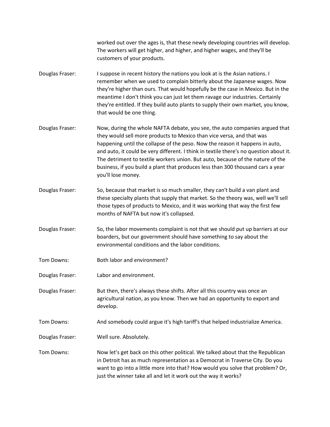worked out over the ages is, that these newly developing countries will develop. The workers will get higher, and higher, and higher wages, and they'll be customers of your products.

- Douglas Fraser: I suppose in recent history the nations you look at is the Asian nations. I remember when we used to complain bitterly about the Japanese wages. Now they're higher than ours. That would hopefully be the case in Mexico. But in the meantime I don't think you can just let them ravage our industries. Certainly they're entitled. If they build auto plants to supply their own market, you know, that would be one thing.
- Douglas Fraser: Now, during the whole NAFTA debate, you see, the auto companies argued that they would sell more products to Mexico than vice versa, and that was happening until the collapse of the peso. Now the reason it happens in auto, and auto, it could be very different. I think in textile there's no question about it. The detriment to textile workers union. But auto, because of the nature of the business, if you build a plant that produces less than 300 thousand cars a year you'll lose money.
- Douglas Fraser: So, because that market is so much smaller, they can't build a van plant and these specialty plants that supply that market. So the theory was, well we'll sell those types of products to Mexico, and it was working that way the first few months of NAFTA but now it's collapsed.
- Douglas Fraser: So, the labor movements complaint is not that we should put up barriers at our boarders, but our government should have something to say about the environmental conditions and the labor conditions.
- Tom Downs: Both labor and environment?
- Douglas Fraser: Labor and environment.
- Douglas Fraser: But then, there's always these shifts. After all this country was once an agricultural nation, as you know. Then we had an opportunity to export and develop.
- Tom Downs: And somebody could argue it's high tariff's that helped industrialize America.
- Douglas Fraser: Well sure. Absolutely.
- Tom Downs: Now let's get back on this other political. We talked about that the Republican in Detroit has as much representation as a Democrat in Traverse City. Do you want to go into a little more into that? How would you solve that problem? Or, just the winner take all and let it work out the way it works?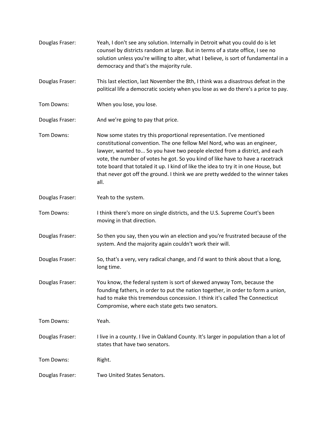| Douglas Fraser: | Yeah, I don't see any solution. Internally in Detroit what you could do is let<br>counsel by districts random at large. But in terms of a state office, I see no<br>solution unless you're willing to alter, what I believe, is sort of fundamental in a<br>democracy and that's the majority rule.                                                                                                                                                                                               |
|-----------------|---------------------------------------------------------------------------------------------------------------------------------------------------------------------------------------------------------------------------------------------------------------------------------------------------------------------------------------------------------------------------------------------------------------------------------------------------------------------------------------------------|
| Douglas Fraser: | This last election, last November the 8th, I think was a disastrous defeat in the<br>political life a democratic society when you lose as we do there's a price to pay.                                                                                                                                                                                                                                                                                                                           |
| Tom Downs:      | When you lose, you lose.                                                                                                                                                                                                                                                                                                                                                                                                                                                                          |
| Douglas Fraser: | And we're going to pay that price.                                                                                                                                                                                                                                                                                                                                                                                                                                                                |
| Tom Downs:      | Now some states try this proportional representation. I've mentioned<br>constitutional convention. The one fellow Mel Nord, who was an engineer,<br>lawyer, wanted to So you have two people elected from a district, and each<br>vote, the number of votes he got. So you kind of like have to have a racetrack<br>tote board that totaled it up. I kind of like the idea to try it in one House, but<br>that never got off the ground. I think we are pretty wedded to the winner takes<br>all. |
| Douglas Fraser: | Yeah to the system.                                                                                                                                                                                                                                                                                                                                                                                                                                                                               |
| Tom Downs:      | I think there's more on single districts, and the U.S. Supreme Court's been<br>moving in that direction.                                                                                                                                                                                                                                                                                                                                                                                          |
| Douglas Fraser: | So then you say, then you win an election and you're frustrated because of the<br>system. And the majority again couldn't work their will.                                                                                                                                                                                                                                                                                                                                                        |
| Douglas Fraser: | So, that's a very, very radical change, and I'd want to think about that a long,<br>long time.                                                                                                                                                                                                                                                                                                                                                                                                    |
| Douglas Fraser: | You know, the federal system is sort of skewed anyway Tom, because the<br>founding fathers, in order to put the nation together, in order to form a union,<br>had to make this tremendous concession. I think it's called The Connecticut<br>Compromise, where each state gets two senators.                                                                                                                                                                                                      |
| Tom Downs:      | Yeah.                                                                                                                                                                                                                                                                                                                                                                                                                                                                                             |
| Douglas Fraser: | I live in a county. I live in Oakland County. It's larger in population than a lot of<br>states that have two senators.                                                                                                                                                                                                                                                                                                                                                                           |
| Tom Downs:      | Right.                                                                                                                                                                                                                                                                                                                                                                                                                                                                                            |
| Douglas Fraser: | Two United States Senators.                                                                                                                                                                                                                                                                                                                                                                                                                                                                       |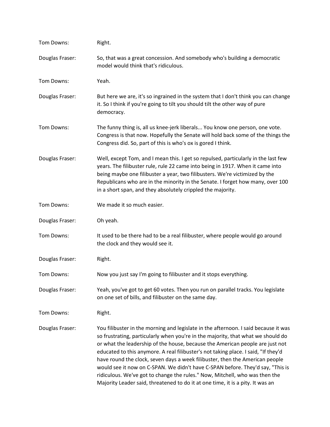| Tom Downs:      | Right.                                                                                                                                                                                                                                                                                                                                                                                                                                                                                                                                                                                                                                                                            |
|-----------------|-----------------------------------------------------------------------------------------------------------------------------------------------------------------------------------------------------------------------------------------------------------------------------------------------------------------------------------------------------------------------------------------------------------------------------------------------------------------------------------------------------------------------------------------------------------------------------------------------------------------------------------------------------------------------------------|
| Douglas Fraser: | So, that was a great concession. And somebody who's building a democratic<br>model would think that's ridiculous.                                                                                                                                                                                                                                                                                                                                                                                                                                                                                                                                                                 |
| Tom Downs:      | Yeah.                                                                                                                                                                                                                                                                                                                                                                                                                                                                                                                                                                                                                                                                             |
| Douglas Fraser: | But here we are, it's so ingrained in the system that I don't think you can change<br>it. So I think if you're going to tilt you should tilt the other way of pure<br>democracy.                                                                                                                                                                                                                                                                                                                                                                                                                                                                                                  |
| Tom Downs:      | The funny thing is, all us knee-jerk liberals You know one person, one vote.<br>Congress is that now. Hopefully the Senate will hold back some of the things the<br>Congress did. So, part of this is who's ox is gored I think.                                                                                                                                                                                                                                                                                                                                                                                                                                                  |
| Douglas Fraser: | Well, except Tom, and I mean this. I get so repulsed, particularly in the last few<br>years. The filibuster rule, rule 22 came into being in 1917. When it came into<br>being maybe one filibuster a year, two filibusters. We're victimized by the<br>Republicans who are in the minority in the Senate. I forget how many, over 100<br>in a short span, and they absolutely crippled the majority.                                                                                                                                                                                                                                                                              |
| Tom Downs:      | We made it so much easier.                                                                                                                                                                                                                                                                                                                                                                                                                                                                                                                                                                                                                                                        |
| Douglas Fraser: | Oh yeah.                                                                                                                                                                                                                                                                                                                                                                                                                                                                                                                                                                                                                                                                          |
| Tom Downs:      | It used to be there had to be a real filibuster, where people would go around<br>the clock and they would see it.                                                                                                                                                                                                                                                                                                                                                                                                                                                                                                                                                                 |
| Douglas Fraser: | Right.                                                                                                                                                                                                                                                                                                                                                                                                                                                                                                                                                                                                                                                                            |
| Tom Downs:      | Now you just say I'm going to filibuster and it stops everything.                                                                                                                                                                                                                                                                                                                                                                                                                                                                                                                                                                                                                 |
| Douglas Fraser: | Yeah, you've got to get 60 votes. Then you run on parallel tracks. You legislate<br>on one set of bills, and filibuster on the same day.                                                                                                                                                                                                                                                                                                                                                                                                                                                                                                                                          |
| Tom Downs:      | Right.                                                                                                                                                                                                                                                                                                                                                                                                                                                                                                                                                                                                                                                                            |
| Douglas Fraser: | You filibuster in the morning and legislate in the afternoon. I said because it was<br>so frustrating, particularly when you're in the majority, that what we should do<br>or what the leadership of the house, because the American people are just not<br>educated to this anymore. A real filibuster's not taking place. I said, "If they'd<br>have round the clock, seven days a week filibuster, then the American people<br>would see it now on C-SPAN. We didn't have C-SPAN before. They'd say, "This is<br>ridiculous. We've got to change the rules." Now, Mitchell, who was then the<br>Majority Leader said, threatened to do it at one time, it is a pity. It was an |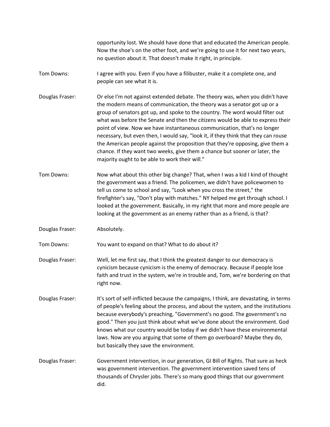|                 | opportunity lost. We should have done that and educated the American people.<br>Now the shoe's on the other foot, and we're going to use it for next two years,<br>no question about it. That doesn't make it right, in principle.                                                                                                                                                                                                                                                                                                                                                                                                                                                                                |
|-----------------|-------------------------------------------------------------------------------------------------------------------------------------------------------------------------------------------------------------------------------------------------------------------------------------------------------------------------------------------------------------------------------------------------------------------------------------------------------------------------------------------------------------------------------------------------------------------------------------------------------------------------------------------------------------------------------------------------------------------|
| Tom Downs:      | I agree with you. Even if you have a filibuster, make it a complete one, and<br>people can see what it is.                                                                                                                                                                                                                                                                                                                                                                                                                                                                                                                                                                                                        |
| Douglas Fraser: | Or else I'm not against extended debate. The theory was, when you didn't have<br>the modern means of communication, the theory was a senator got up or a<br>group of senators got up, and spoke to the country. The word would filter out<br>what was before the Senate and then the citizens would be able to express their<br>point of view. Now we have instantaneous communication, that's no longer<br>necessary, but even then, I would say, "look it, if they think that they can rouse<br>the American people against the proposition that they're opposing, give them a<br>chance. If they want two weeks, give them a chance but sooner or later, the<br>majority ought to be able to work their will." |
| Tom Downs:      | Now what about this other big change? That, when I was a kid I kind of thought<br>the government was a friend. The policemen, we didn't have policewomen to<br>tell us come to school and say, "Look when you cross the street," the<br>firefighter's say, "Don't play with matches." NY helped me get through school. I<br>looked at the government. Basically, in my right that more and more people are<br>looking at the government as an enemy rather than as a friend, is that?                                                                                                                                                                                                                             |
| Douglas Fraser: | Absolutely.                                                                                                                                                                                                                                                                                                                                                                                                                                                                                                                                                                                                                                                                                                       |
| Tom Downs:      | You want to expand on that? What to do about it?                                                                                                                                                                                                                                                                                                                                                                                                                                                                                                                                                                                                                                                                  |
| Douglas Fraser: | Well, let me first say, that I think the greatest danger to our democracy is<br>cynicism because cynicism is the enemy of democracy. Because if people lose<br>faith and trust in the system, we're in trouble and, Tom, we're bordering on that<br>right now.                                                                                                                                                                                                                                                                                                                                                                                                                                                    |
| Douglas Fraser: | It's sort of self-inflicted because the campaigns, I think, are devastating, in terms<br>of people's feeling about the process, and about the system, and the institutions<br>because everybody's preaching, "Government's no good. The government's no<br>good." Then you just think about what we've done about the environment. God<br>knows what our country would be today if we didn't have these environmental<br>laws. Now are you arguing that some of them go overboard? Maybe they do,<br>but basically they save the environment.                                                                                                                                                                     |
| Douglas Fraser: | Government intervention, in our generation, GI Bill of Rights. That sure as heck<br>was government intervention. The government intervention saved tens of<br>thousands of Chrysler jobs. There's so many good things that our government<br>did.                                                                                                                                                                                                                                                                                                                                                                                                                                                                 |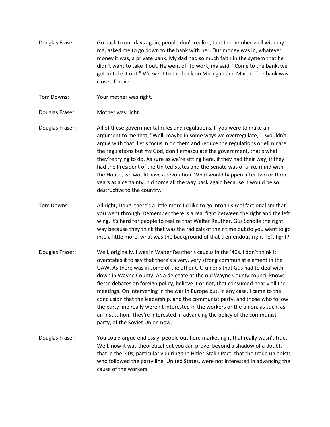- Douglas Fraser: Go back to our days again, people don't realize, that I remember well with my ma, asked me to go down to the bank with her. Our money was in, whatever money it was, a private bank. My dad had so much faith in the system that he didn't want to take it out. He went off to work, ma said, "Come to the bank, we got to take it out." We went to the bank on Michigan and Martin. The bank was closed forever.
- Tom Downs: Your mother was right.
- Douglas Fraser: Mother was right.
- Douglas Fraser: All of these governmental rules and regulations. If you were to make an argument to me that, "Well, maybe in some ways we overregulate," I wouldn't argue with that. Let's focus in on them and reduce the regulations or eliminate the regulations but my God, don't emasculate the government, that's what they're trying to do. As sure as we're sitting here, if they had their way, if they had the President of the United States and the Senate was of a like mind with the House, we would have a revolution. What would happen after two or three years as a certainty, it'd come all the way back again because it would be so destructive to the country.
- Tom Downs: All right, Doug, there's a little more I'd like to go into this real factionalism that you went through. Remember there is a real fight between the right and the left wing. It's hard for people to realize that Walter Reuther, Gus Scholle the right way because they think that was the radicals of their time but do you want to go into a little more, what was the background of that tremendous right, left fight?
- Douglas Fraser: Well, originally, I was in Walter Reuther's caucus in the '40s. I don't think it overstates it to say that there's a very, very strong communist element in the UAW. As there was in some of the other CIO unions that Gus had to deal with down in Wayne County. As a delegate at the old Wayne County council knows fierce debates on foreign policy, believe it or not, that consumed nearly all the meetings. On intervening in the war in Europe but, in any case, I came to the conclusion that the leadership, and the communist party, and those who follow the party line really weren't interested in the workers or the union, as such, as an institution. They're interested in advancing the policy of the communist party, of the Soviet Union now.
- Douglas Fraser: You could argue endlessly, people out here marketing it that really wasn't true. Well, now it was theoretical but you can prove, beyond a shadow of a doubt, that in the '40s, particularly during the Hitler-Stalin Pact, that the trade unionists who followed the party line, United States, were not interested in advancing the cause of the workers.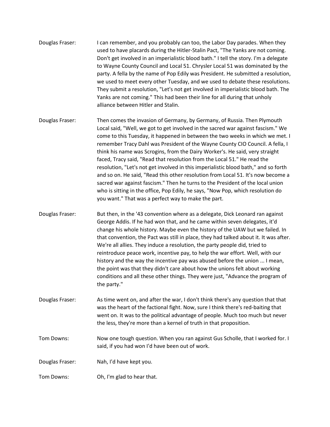- Douglas Fraser: I can remember, and you probably can too, the Labor Day parades. When they used to have placards during the Hitler-Stalin Pact, "The Yanks are not coming. Don't get involved in an imperialistic blood bath." I tell the story. I'm a delegate to Wayne County Council and Local 51. Chrysler Local 51 was dominated by the party. A fella by the name of Pop Edily was President. He submitted a resolution, we used to meet every other Tuesday, and we used to debate these resolutions. They submit a resolution, "Let's not get involved in imperialistic blood bath. The Yanks are not coming." This had been their line for all during that unholy alliance between Hitler and Stalin.
- Douglas Fraser: Then comes the invasion of Germany, by Germany, of Russia. Then Plymouth Local said, "Well, we got to get involved in the sacred war against fascism." We come to this Tuesday, it happened in between the two weeks in which we met. I remember Tracy Dahl was President of the Wayne County CIO Council. A fella, I think his name was Scrogins, from the Dairy Worker's. He said, very straight faced, Tracy said, "Read that resolution from the Local 51." He read the resolution, "Let's not get involved in this imperialistic blood bath," and so forth and so on. He said, "Read this other resolution from Local 51. It's now become a sacred war against fascism." Then he turns to the President of the local union who is sitting in the office, Pop Edily, he says, "Now Pop, which resolution do you want." That was a perfect way to make the part.
- Douglas Fraser: But then, in the '43 convention where as a delegate, Dick Leonard ran against George Addis. If he had won that, and he came within seven delegates, it'd change his whole history. Maybe even the history of the UAW but we failed. In that convention, the Pact was still in place, they had talked about it. It was after. We're all allies. They induce a resolution, the party people did, tried to reintroduce peace work, incentive pay, to help the war effort. Well, with our history and the way the incentive pay was abused before the union ... I mean, the point was that they didn't care about how the unions felt about working conditions and all these other things. They were just, "Advance the program of the party."
- Douglas Fraser: As time went on, and after the war, I don't think there's any question that that was the heart of the factional fight. Now, sure I think there's red-baiting that went on. It was to the political advantage of people. Much too much but never the less, they're more than a kernel of truth in that proposition.
- Tom Downs: Now one tough question. When you ran against Gus Scholle, that I worked for. I said, if you had won I'd have been out of work.
- Douglas Fraser: Nah, I'd have kept you.
- Tom Downs: Oh, I'm glad to hear that.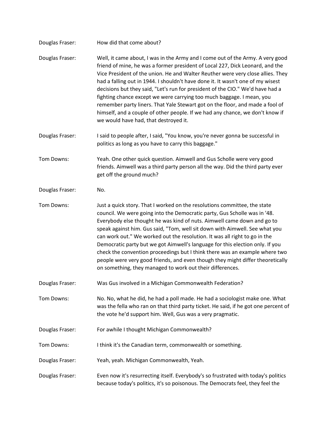| Douglas Fraser: | How did that come about?                                                                                                                                                                                                                                                                                                                                                                                                                                                                                                                                                                                                                                                                                      |
|-----------------|---------------------------------------------------------------------------------------------------------------------------------------------------------------------------------------------------------------------------------------------------------------------------------------------------------------------------------------------------------------------------------------------------------------------------------------------------------------------------------------------------------------------------------------------------------------------------------------------------------------------------------------------------------------------------------------------------------------|
| Douglas Fraser: | Well, it came about, I was in the Army and I come out of the Army. A very good<br>friend of mine, he was a former president of Local 227, Dick Leonard, and the<br>Vice President of the union. He and Walter Reuther were very close allies. They<br>had a falling out in 1944. I shouldn't have done it. It wasn't one of my wisest<br>decisions but they said, "Let's run for president of the CIO." We'd have had a<br>fighting chance except we were carrying too much baggage. I mean, you<br>remember party liners. That Yale Stewart got on the floor, and made a fool of<br>himself, and a couple of other people. If we had any chance, we don't know if<br>we would have had, that destroyed it.   |
| Douglas Fraser: | I said to people after, I said, "You know, you're never gonna be successful in<br>politics as long as you have to carry this baggage."                                                                                                                                                                                                                                                                                                                                                                                                                                                                                                                                                                        |
| Tom Downs:      | Yeah. One other quick question. Aimwell and Gus Scholle were very good<br>friends. Aimwell was a third party person all the way. Did the third party ever<br>get off the ground much?                                                                                                                                                                                                                                                                                                                                                                                                                                                                                                                         |
| Douglas Fraser: | No.                                                                                                                                                                                                                                                                                                                                                                                                                                                                                                                                                                                                                                                                                                           |
| Tom Downs:      | Just a quick story. That I worked on the resolutions committee, the state<br>council. We were going into the Democratic party, Gus Scholle was in '48.<br>Everybody else thought he was kind of nuts. Aimwell came down and go to<br>speak against him. Gus said, "Tom, well sit down with Aimwell. See what you<br>can work out." We worked out the resolution. It was all right to go in the<br>Democratic party but we got Aimwell's language for this election only. If you<br>check the convention proceedings but I think there was an example where two<br>people were very good friends, and even though they might differ theoretically<br>on something, they managed to work out their differences. |
| Douglas Fraser: | Was Gus involved in a Michigan Commonwealth Federation?                                                                                                                                                                                                                                                                                                                                                                                                                                                                                                                                                                                                                                                       |
| Tom Downs:      | No. No, what he did, he had a poll made. He had a sociologist make one. What<br>was the fella who ran on that third party ticket. He said, if he got one percent of<br>the vote he'd support him. Well, Gus was a very pragmatic.                                                                                                                                                                                                                                                                                                                                                                                                                                                                             |
| Douglas Fraser: | For awhile I thought Michigan Commonwealth?                                                                                                                                                                                                                                                                                                                                                                                                                                                                                                                                                                                                                                                                   |
| Tom Downs:      | I think it's the Canadian term, commonwealth or something.                                                                                                                                                                                                                                                                                                                                                                                                                                                                                                                                                                                                                                                    |
| Douglas Fraser: | Yeah, yeah. Michigan Commonwealth, Yeah.                                                                                                                                                                                                                                                                                                                                                                                                                                                                                                                                                                                                                                                                      |
| Douglas Fraser: | Even now it's resurrecting itself. Everybody's so frustrated with today's politics<br>because today's politics, it's so poisonous. The Democrats feel, they feel the                                                                                                                                                                                                                                                                                                                                                                                                                                                                                                                                          |